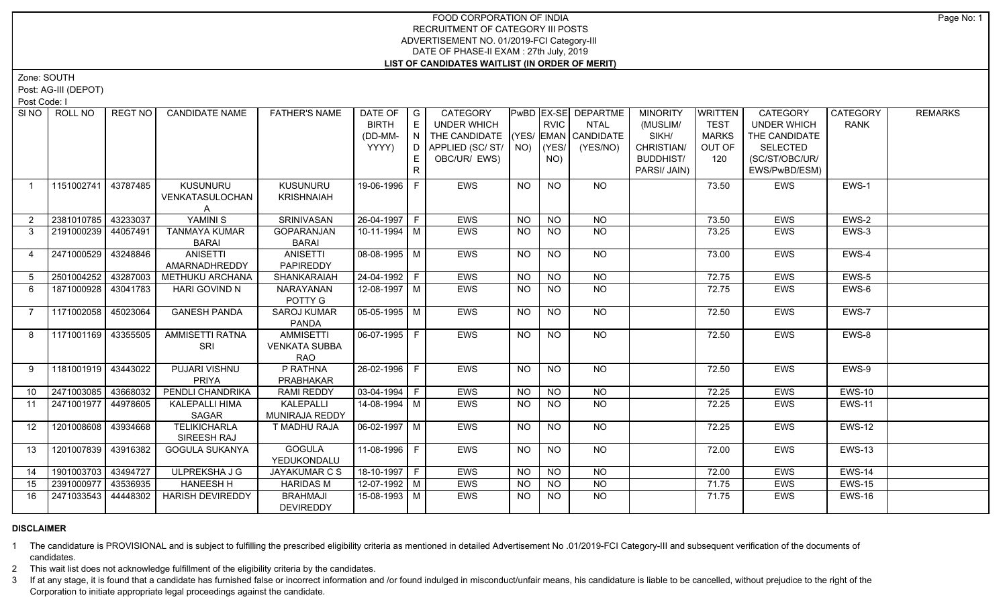Zone: SOUTH

Post: AG-III (DEPOT)

Post Code: I

| SI NO 1      | ROLL NO             | REGT NO  | <b>CANDIDATE NAME</b>                   | <b>FATHER'S NAME</b>                                   | DATE OF<br><b>BIRTH</b><br>(DD-MM-<br>YYYY) | $\overline{\phantom{a}}$ G<br>E<br>N.<br>D<br>E. | CATEGORY<br>UNDER WHICH<br>THE CANDIDATE (YES/ EMAN CANDIDATE<br>APPLIED (SC/ST/<br>OBC/UR/ EWS) | NO)       | RVIC<br>YES/<br>NO) | PwBD EX-SE DEPARTME<br><b>NTAL</b><br>(YES/NO) | <b>MINORITY</b><br>(MUSLIM/<br>SIKH/<br>CHRISTIAN/<br><b>BUDDHIST/</b> | <b>WRITTEN</b><br><b>TEST</b><br><b>MARKS</b><br>OUT OF<br>120 | CATEGORY<br><b>UNDER WHICH</b><br>THE CANDIDATE<br><b>SELECTED</b><br>(SC/ST/OBC/UR/ | CATEGORY<br><b>RANK</b> | <b>REMARKS</b> |
|--------------|---------------------|----------|-----------------------------------------|--------------------------------------------------------|---------------------------------------------|--------------------------------------------------|--------------------------------------------------------------------------------------------------|-----------|---------------------|------------------------------------------------|------------------------------------------------------------------------|----------------------------------------------------------------|--------------------------------------------------------------------------------------|-------------------------|----------------|
|              |                     |          |                                         |                                                        |                                             | $\mathsf{R}$                                     |                                                                                                  |           |                     |                                                | PARSI/ JAIN)                                                           |                                                                | EWS/PwBD/ESM)                                                                        |                         |                |
| $\mathbf{1}$ | 1151002741          | 43787485 | <b>KUSUNURU</b><br>VENKATASULOCHAN<br>A | <b>KUSUNURU</b><br><b>KRISHNAIAH</b>                   | 19-06-1996   F                              |                                                  | <b>EWS</b>                                                                                       | NO        | <b>NO</b>           | <b>NO</b>                                      |                                                                        | 73.50                                                          | EWS                                                                                  | EWS-1                   |                |
|              | 2381010785          | 43233037 | YAMINI S                                | <b>SRINIVASAN</b>                                      | 26-04-1997 F                                |                                                  | <b>EWS</b>                                                                                       | NO        | <b>NO</b>           | NO                                             |                                                                        | 73.50                                                          | <b>EWS</b>                                                                           | EWS-2                   |                |
| 3            | 2191000239 44057491 |          | <b>TANMAYA KUMAR</b><br><b>BARAI</b>    | GOPARANJAN<br><b>BARAI</b>                             | 10-11-1994 M                                |                                                  | EWS                                                                                              | <b>NO</b> | NO.                 | <b>NO</b>                                      |                                                                        | 73.25                                                          | EWS                                                                                  | EWS-3                   |                |
| 4            | 2471000529 43248846 |          | <b>ANISETTI</b><br>AMARNADHREDDY        | <b>ANISETTI</b><br>PAPIREDDY                           | $08-08-1995$ M                              |                                                  | <b>EWS</b>                                                                                       | <b>NO</b> | N <sub>O</sub>      | $N$ O                                          |                                                                        | 73.00                                                          | <b>EWS</b>                                                                           | EWS-4                   |                |
| 5            | 2501004252 43287003 |          | METHUKU ARCHANA                         | SHANKARAIAH                                            | 24-04-1992 F                                |                                                  | EWS                                                                                              | <b>NO</b> | <b>NO</b>           | <b>NO</b>                                      |                                                                        | 72.75                                                          | <b>EWS</b>                                                                           | EWS-5                   |                |
| 6            | 1871000928 43041783 |          | <b>HARI GOVIND N</b>                    | <b>NARAYANAN</b><br>POTTY G                            | 12-08-1997   M                              |                                                  | <b>EWS</b>                                                                                       | <b>NO</b> | <b>NO</b>           | NO.                                            |                                                                        | 72.75                                                          | EWS                                                                                  | EWS-6                   |                |
| 7            | 1171002058 45023064 |          | <b>GANESH PANDA</b>                     | <b>SAROJ KUMAR</b><br><b>PANDA</b>                     | $05-05-1995$ M                              |                                                  | EWS                                                                                              | <b>NO</b> | <b>NO</b>           | $N$ <sup>O</sup>                               |                                                                        | 72.50                                                          | <b>EWS</b>                                                                           | EWS-7                   |                |
| 8            | 1171001169 43355505 |          | <b>AMMISETTI RATNA</b><br>SRI           | <b>AMMISETTI</b><br><b>VENKATA SUBBA</b><br><b>RAO</b> | $06-07-1995$ F                              |                                                  | <b>EWS</b>                                                                                       | <b>NO</b> | N <sub>O</sub>      | $N$ <sup>O</sup>                               |                                                                        | 72.50                                                          | <b>EWS</b>                                                                           | EWS-8                   |                |
| 9            | 1181001919 43443022 |          | PUJARI VISHNU<br><b>PRIYA</b>           | P RATHNA<br>PRABHAKAR                                  | 26-02-1996 F                                |                                                  | EWS                                                                                              | NO.       | <b>NO</b>           | NO                                             |                                                                        | 72.50                                                          | EWS                                                                                  | EWS-9                   |                |
| 10           | 2471003085 43668032 |          | PENDLI CHANDRIKA                        | <b>RAMI REDDY</b>                                      | $03-04-1994$ F                              |                                                  | EWS                                                                                              | <b>NO</b> | N <sub>O</sub>      | N <sub>O</sub>                                 |                                                                        | 72.25                                                          | <b>EWS</b>                                                                           | <b>EWS-10</b>           |                |
| 11           | 2471001977 44978605 |          | <b>KALEPALLI HIMA</b><br>SAGAR          | KALEPALLI<br>MUNIRAJA REDDY                            | 14-08-1994 M                                |                                                  | <b>EWS</b>                                                                                       | <b>NO</b> | <b>NO</b>           | N <sub>O</sub>                                 |                                                                        | 72.25                                                          | <b>EWS</b>                                                                           | <b>EWS-11</b>           |                |
| 12           | 1201008608 43934668 |          | <b>TELIKICHARLA</b><br>SIREESH RAJ      | T MADHU RAJA                                           | $06-02-1997$ M                              |                                                  | <b>EWS</b>                                                                                       | NO        | <b>NO</b>           | <b>NO</b>                                      |                                                                        | 72.25                                                          | <b>EWS</b>                                                                           | <b>EWS-12</b>           |                |
| 13           | 1201007839 43916382 |          | <b>GOGULA SUKANYA</b>                   | <b>GOGULA</b><br>YEDUKONDALU                           | 11-08-1996 F                                |                                                  | <b>EWS</b>                                                                                       | <b>NO</b> | <b>NO</b>           | NO                                             |                                                                        | 72.00                                                          | <b>EWS</b>                                                                           | <b>EWS-13</b>           |                |
| 14           | 1901003703 43494727 |          | ULPREKSHA J G                           | JAYAKUMAR C S                                          | 18-10-1997 F                                |                                                  | EWS                                                                                              | <b>NO</b> | <b>NO</b>           | <b>NO</b>                                      |                                                                        | 72.00                                                          | <b>EWS</b>                                                                           | <b>EWS-14</b>           |                |
| 15           | 2391000977          | 43536935 | <b>HANEESH H</b>                        | <b>HARIDAS M</b>                                       | 12-07-1992 M                                |                                                  | EWS                                                                                              | <b>NO</b> | <b>NO</b>           | $\overline{NQ}$                                |                                                                        | 71.75                                                          | EWS                                                                                  | <b>EWS-15</b>           |                |
| 16           | 2471033543          | 44448302 | <b>HARISH DEVIREDDY</b>                 | <b>BRAHMAJI</b><br><b>DEVIREDDY</b>                    | 15-08-1993 M                                |                                                  | EWS                                                                                              | NO.       | NO.                 | <b>NO</b>                                      |                                                                        | 71.75                                                          | <b>EWS</b>                                                                           | <b>EWS-16</b>           |                |

# **DISCLAIMER**

1 The candidature is PROVISIONAL and is subject to fulfilling the prescribed eligibility criteria as mentioned in detailed Advertisement No .01/2019-FCI Category-III and subsequent verification of the documents of candidates.

2 This wait list does not acknowledge fulfillment of the eligibility criteria by the candidates.

3 If at any stage, it is found that a candidate has furnished false or incorrect information and /or found indulged in misconduct/unfair means, his candidature is liable to be cancelled, without prejudice to the right of t Corporation to initiate appropriate legal proceedings against the candidate.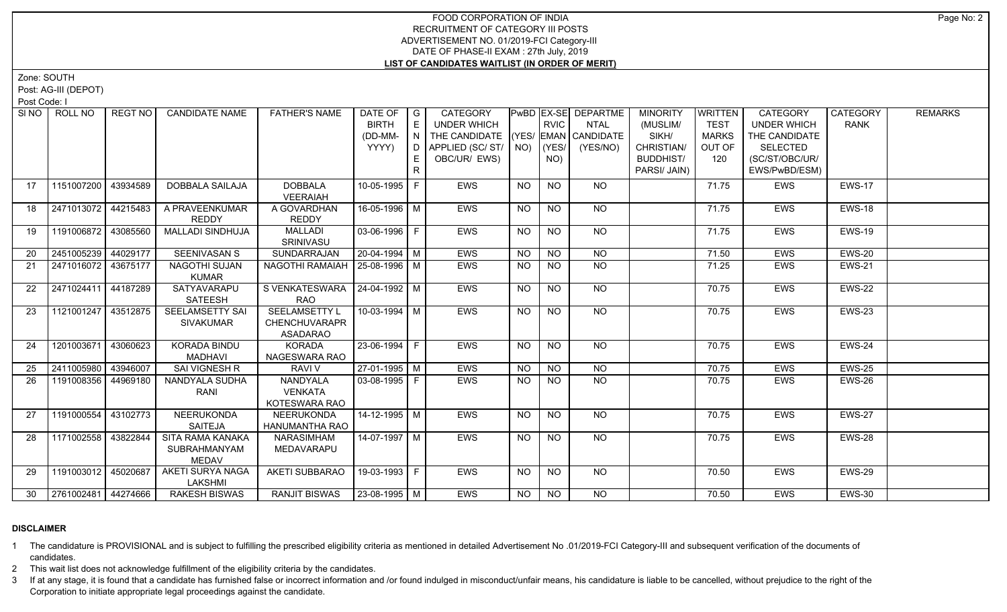Zone: SOUTH

Post: AG-III (DEPOT)

Post Code: I

| SI NO I | ROLL NO                | REGT NO  | <b>CANDIDATE NAME</b>                                   | <b>FATHER'S NAME</b>                                            | DATE OF<br><b>BIRTH</b><br>(DD-MM-<br>YYYY) | $\overline{\phantom{a}}$ G<br>E<br>N<br>D<br>E. | CATEGORY<br><b>UNDER WHICH</b><br>THE CANDIDATE (YES/ EMAN CANDIDATE<br>APPLIED (SC/ST/<br>OBC/UR/ EWS) |           | <b>RVIC</b><br>$NO)$ (YES/<br>NO) | PwBD EX-SE DEPARTME<br><b>NTAL</b><br>(YES/NO) | <b>MINORITY</b><br>(MUSLIM/<br>SIKH/<br>CHRISTIAN/<br><b>BUDDHIST/</b><br>PARSI/ JAIN) | <b>WRITTEN</b><br><b>TEST</b><br><b>MARKS</b><br>OUT OF<br>120 | CATEGORY<br><b>UNDER WHICH</b><br>THE CANDIDATE<br><b>SELECTED</b><br>(SC/ST/OBC/UR/<br>EWS/PwBD/ESM) | CATEGORY<br><b>RANK</b> | <b>REMARKS</b> |
|---------|------------------------|----------|---------------------------------------------------------|-----------------------------------------------------------------|---------------------------------------------|-------------------------------------------------|---------------------------------------------------------------------------------------------------------|-----------|-----------------------------------|------------------------------------------------|----------------------------------------------------------------------------------------|----------------------------------------------------------------|-------------------------------------------------------------------------------------------------------|-------------------------|----------------|
| 17      | 1151007200             | 43934589 | <b>DOBBALA SAILAJA</b>                                  | <b>DOBBALA</b><br><b>VEERAIAH</b>                               | 10-05-1995                                  | $\mathsf{F}$                                    | <b>EWS</b>                                                                                              | NO        | <b>NO</b>                         | NO.                                            |                                                                                        | 71.75                                                          | EWS                                                                                                   | <b>EWS-17</b>           |                |
| 18      | 2471013072 44215483    |          | A PRAVEENKUMAR<br><b>REDDY</b>                          | A GOVARDHAN<br><b>REDDY</b>                                     | 16-05-1996 M                                |                                                 | EWS                                                                                                     | <b>NO</b> | <b>NO</b>                         | <b>NO</b>                                      |                                                                                        | 71.75                                                          | <b>EWS</b>                                                                                            | <b>EWS-18</b>           |                |
| 19      | 1191006872 43085560    |          | <b>MALLADI SINDHUJA</b>                                 | MALLADI<br>SRINIVASU                                            | $03-06-1996$ F                              |                                                 | EWS                                                                                                     | <b>NO</b> | N <sub>O</sub>                    | NO                                             |                                                                                        | 71.75                                                          | <b>EWS</b>                                                                                            | <b>EWS-19</b>           |                |
| 20      | 2451005239 44029177    |          | <b>SEENIVASAN S</b>                                     | <b>SUNDARRAJAN</b>                                              | $20-04-1994$ M                              |                                                 | <b>EWS</b>                                                                                              | <b>NO</b> | N <sub>O</sub>                    | N <sub>O</sub>                                 |                                                                                        | 71.50                                                          | <b>EWS</b>                                                                                            | <b>EWS-20</b>           |                |
| 21      | 2471016072 43675177    |          | NAGOTHI SUJAN<br><b>KUMAR</b>                           | NAGOTHI RAMAIAH   25-08-1996   M                                |                                             |                                                 | <b>EWS</b>                                                                                              | <b>NO</b> | <b>NO</b>                         | <b>NO</b>                                      |                                                                                        | 71.25                                                          | <b>EWS</b>                                                                                            | <b>EWS-21</b>           |                |
| 22      | 2471024411             | 44187289 | SATYAVARAPU<br>SATEESH                                  | SVENKATESWARA 24-04-1992 M<br>RAO                               |                                             |                                                 | <b>EWS</b>                                                                                              | NO        | <b>NO</b>                         | NO                                             |                                                                                        | 70.75                                                          | <b>EWS</b>                                                                                            | EWS-22                  |                |
| 23      | 1121001247 43512875    |          | <b>SEELAMSETTY SAI</b><br><b>SIVAKUMAR</b>              | <b>SEELAMSETTY L</b><br><b>CHENCHUVARAPR</b><br><b>ASADARAO</b> | $10-03-1994$ M                              |                                                 | <b>EWS</b>                                                                                              | NO        | N <sub>O</sub>                    | N                                              |                                                                                        | 70.75                                                          | <b>EWS</b>                                                                                            | <b>EWS-23</b>           |                |
| 24      | 1201003671             | 43060623 | <b>KORADA BINDU</b><br><b>MADHAVI</b>                   | KORADA<br>NAGESWARA RAO                                         | $23-06-1994$ F                              |                                                 | <b>EWS</b>                                                                                              | NO        | N <sub>O</sub>                    | NO                                             |                                                                                        | 70.75                                                          | <b>EWS</b>                                                                                            | EWS-24                  |                |
| 25      | 2411005980             | 43946007 | SAI VIGNESH R                                           | <b>RAVI V</b>                                                   | $27-01-1995$ M                              |                                                 | EWS                                                                                                     | <b>NO</b> | NO                                | $N$ O                                          |                                                                                        | 70.75                                                          | <b>EWS</b>                                                                                            | <b>EWS-25</b>           |                |
| 26      | 1191008356 44969180    |          | NANDYALA SUDHA<br>RANI                                  | NANDYALA<br><b>VENKATA</b><br>KOTESWARA RAO                     | 03-08-1995 F                                |                                                 | EWS                                                                                                     | <b>NO</b> | <b>NO</b>                         | N <sub>O</sub>                                 |                                                                                        | 70.75                                                          | <b>EWS</b>                                                                                            | EWS-26                  |                |
| 27      | 1191000554             | 43102773 | NEERUKONDA<br>SAITEJA                                   | NEERUKONDA<br>HANUMANTHA RAO                                    | 14-12-1995 M                                |                                                 | <b>EWS</b>                                                                                              | NO.       | <b>NO</b>                         | <b>NO</b>                                      |                                                                                        | 70.75                                                          | <b>EWS</b>                                                                                            | <b>EWS-27</b>           |                |
| 28      | 1171002558 43822844    |          | <b>SITA RAMA KANAKA</b><br>SUBRAHMANYAM<br><b>MEDAV</b> | NARASIMHAM<br>MEDAVARAPU                                        | 14-07-1997 M                                |                                                 | <b>EWS</b>                                                                                              | <b>NO</b> | N <sub>O</sub>                    | $N$ O                                          |                                                                                        | 70.75                                                          | <b>EWS</b>                                                                                            | <b>EWS-28</b>           |                |
| 29      | 1191003012 45020687    |          | <b>AKETI SURYA NAGA</b><br>LAKSHMI                      | <b>AKETI SUBBARAO</b>                                           | 19-03-1993 F                                |                                                 | <b>EWS</b>                                                                                              | <b>NO</b> | <b>NO</b>                         | NO                                             |                                                                                        | 70.50                                                          | <b>EWS</b>                                                                                            | EWS-29                  |                |
|         | 30 2761002481 44274666 |          | RAKESH BISWAS                                           | RANJIT BISWAS   23-08-1995   M                                  |                                             |                                                 | <b>EWS</b>                                                                                              | NO.       | NO.                               | NO.                                            |                                                                                        | 70.50                                                          | <b>EWS</b>                                                                                            | <b>EWS-30</b>           |                |

# **DISCLAIMER**

1 The candidature is PROVISIONAL and is subject to fulfilling the prescribed eligibility criteria as mentioned in detailed Advertisement No .01/2019-FCI Category-III and subsequent verification of the documents of candidates.

2 This wait list does not acknowledge fulfillment of the eligibility criteria by the candidates.

3 If at any stage, it is found that a candidate has furnished false or incorrect information and /or found indulged in misconduct/unfair means, his candidature is liable to be cancelled, without prejudice to the right of t Corporation to initiate appropriate legal proceedings against the candidate.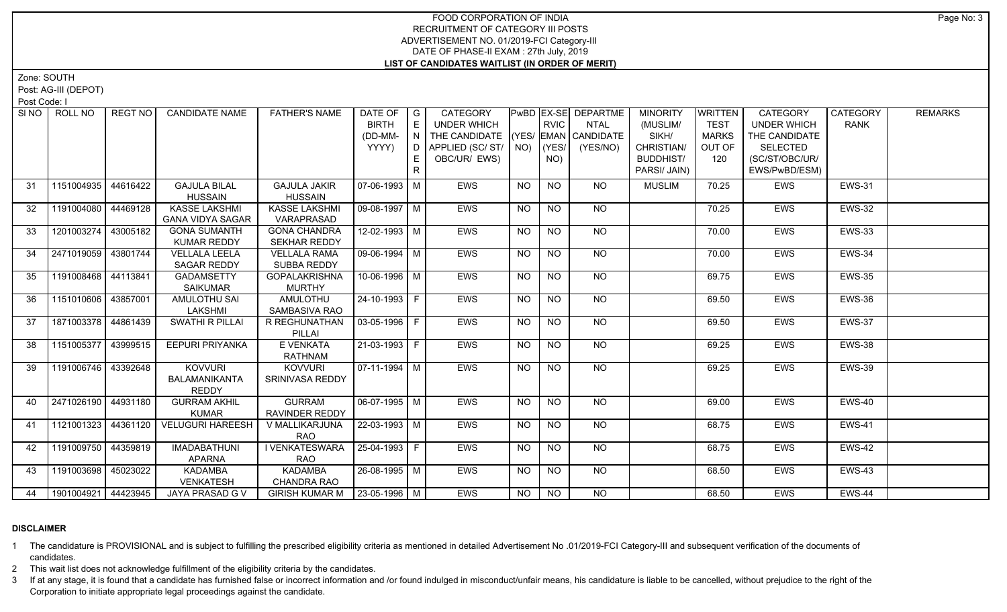Zone: SOUTH

Post: AG-III (DEPOT)

Post Code: I

| SI <sub>NO</sub> | ROLL NO               | REGT NO  | <b>CANDIDATE NAME</b>                           | <b>FATHER'S NAME</b>                       | DATE OF $ G $<br><b>BIRTH</b><br>(DD-MM-<br>YYYY) | E<br>N<br>E<br>R | CATEGORY<br>UNDER WHICH<br>THE CANDIDATE (YES/ EMAN CANDIDATE<br>D   APPLIED (SC/ ST/   NO)<br>OBC/UR/ EWS) |           | <b>RVIC</b><br>$ $ (YES/<br>NO) | PwBD EX-SE DEPARTME<br>NTAL<br>(YES/NO) | <b>MINORITY</b><br>(MUSLIM/<br>SIKH/<br>CHRISTIAN/<br><b>BUDDHIST/</b><br>PARSI/ JAIN) | <b>WRITTEN</b><br><b>TEST</b><br><b>MARKS</b><br>OUT OF<br>120 | CATEGORY<br><b>UNDER WHICH</b><br>THE CANDIDATE<br><b>SELECTED</b><br>(SC/ST/OBC/UR/<br>EWS/PwBD/ESM) | CATEGORY<br><b>RANK</b> | <b>REMARKS</b> |
|------------------|-----------------------|----------|-------------------------------------------------|--------------------------------------------|---------------------------------------------------|------------------|-------------------------------------------------------------------------------------------------------------|-----------|---------------------------------|-----------------------------------------|----------------------------------------------------------------------------------------|----------------------------------------------------------------|-------------------------------------------------------------------------------------------------------|-------------------------|----------------|
| 31               | 1151004935            | 44616422 | <b>GAJULA BILAL</b><br><b>HUSSAIN</b>           | <b>GAJULA JAKIR</b><br><b>HUSSAIN</b>      | 07-06-1993   M                                    |                  | <b>EWS</b>                                                                                                  | <b>NO</b> | NO                              | NO                                      | <b>MUSLIM</b>                                                                          | 70.25                                                          | EWS                                                                                                   | <b>EWS-31</b>           |                |
| 32               | 1191004080 44469128   |          | <b>KASSE LAKSHMI</b><br><b>GANA VIDYA SAGAR</b> | <b>KASSE LAKSHMI</b><br>VARAPRASAD         | $09-08-1997$ M                                    |                  | <b>EWS</b>                                                                                                  | <b>NO</b> | <b>NO</b>                       | NO                                      |                                                                                        | 70.25                                                          | <b>EWS</b>                                                                                            | <b>EWS-32</b>           |                |
| 33               | 1201003274 43005182   |          | <b>GONA SUMANTH</b><br><b>KUMAR REDDY</b>       | <b>GONA CHANDRA</b><br><b>SEKHAR REDDY</b> | $12 - 02 - 1993$ M                                |                  | <b>EWS</b>                                                                                                  | <b>NO</b> | $\overline{NO}$                 | $\overline{NO}$                         |                                                                                        | 70.00                                                          | EWS                                                                                                   | <b>EWS-33</b>           |                |
| 34               | 2471019059 43801744   |          | <b>VELLALA LEELA</b><br>SAGAR REDDY             | <b>VELLALA RAMA</b><br>SUBBA REDDY         | $\sqrt{09-06-1994}$ M                             |                  | <b>EWS</b>                                                                                                  | <b>NO</b> | <b>NO</b>                       | $N$ <sup>O</sup>                        |                                                                                        | 70.00                                                          | EWS                                                                                                   | <b>EWS-34</b>           |                |
| 35               | 1191008468 44113841   |          | <b>GADAMSETTY</b><br><b>SAIKUMAR</b>            | <b>GOPALAKRISHNA</b><br><b>MURTHY</b>      | 10-06-1996   M                                    |                  | EWS                                                                                                         | NO.       | NO.                             | NO.                                     |                                                                                        | 69.75                                                          | EWS                                                                                                   | <b>EWS-35</b>           |                |
| 36               | 1151010606 43857001   |          | AMULOTHU SAI<br>LAKSHMI                         | <b>AMULOTHU</b><br>SAMBASIVA RAO           | $24 - 10 - 1993$ F                                |                  | <b>EWS</b>                                                                                                  | <b>NO</b> | <b>NO</b>                       | NO                                      |                                                                                        | 69.50                                                          | <b>EWS</b>                                                                                            | <b>EWS-36</b>           |                |
| 37               | 1871003378 44861439   |          | SWATHI R PILLAI                                 | R REGHUNATHAN<br>PILLAI                    | $ 03-05-1996 F$                                   |                  | EWS                                                                                                         | <b>NO</b> | <b>NO</b>                       | $\overline{NQ}$                         |                                                                                        | 69.50                                                          | EWS                                                                                                   | <b>EWS-37</b>           |                |
| 38               | 1151005377 43999515   |          | <b>EEPURI PRIYANKA</b>                          | E VENKATA<br>RATHNAM                       | 21-03-1993 F                                      |                  | EWS                                                                                                         | <b>NO</b> | <b>NO</b>                       | NO                                      |                                                                                        | 69.25                                                          | EWS                                                                                                   | EWS-38                  |                |
| 39               | 1191006746 43392648   |          | <b>KOVVURI</b><br>BALAMANIKANTA<br><b>REDDY</b> | <b>KOVVURI</b><br>SRINIVASA REDDY          | 07-11-1994   M                                    |                  | <b>EWS</b>                                                                                                  | NO.       | NO                              | NO                                      |                                                                                        | 69.25                                                          | <b>EWS</b>                                                                                            | <b>EWS-39</b>           |                |
| 40               | 2471026190 44931180   |          | <b>GURRAM AKHIL</b><br><b>KUMAR</b>             | <b>GURRAM</b><br>RAVINDER REDDY            | 06-07-1995   M                                    |                  | EWS                                                                                                         | NO.       | NO.                             | NO.                                     |                                                                                        | 69.00                                                          | EWS                                                                                                   | EWS-40                  |                |
| 41               | 1121001323 44361120   |          | <b>VELUGURI HAREESH</b>                         | V MALLIKARJUNA<br><b>RAO</b>               | 22-03-1993 M                                      |                  | <b>EWS</b>                                                                                                  | <b>NO</b> | <b>NO</b>                       | NO.                                     |                                                                                        | 68.75                                                          | <b>EWS</b>                                                                                            | <b>EWS-41</b>           |                |
| 42               | 1191009750 44359819   |          | <b>IMADABATHUNI</b><br><b>APARNA</b>            | <b>I VENKATESWARA</b><br><b>RAO</b>        | $ 25-04-1993 F$                                   |                  | <b>EWS</b>                                                                                                  | <b>NO</b> | <b>NO</b>                       | $N$ <sup>O</sup>                        |                                                                                        | 68.75                                                          | EWS                                                                                                   | <b>EWS-42</b>           |                |
| 43               | 1191003698   45023022 |          | KADAMBA<br><b>VENKATESH</b>                     | KADAMBA<br>CHANDRA RAO                     | 26-08-1995 M                                      |                  | EWS                                                                                                         | <b>NO</b> | <b>NO</b>                       | NO                                      |                                                                                        | 68.50                                                          | EWS                                                                                                   | EWS-43                  |                |
| 44               | 1901004921 44423945   |          | JAYA PRASAD G V                                 | GIRISH KUMAR M   23-05-1996   M            |                                                   |                  | <b>EWS</b>                                                                                                  | <b>NO</b> | <b>NO</b>                       | NO.                                     |                                                                                        | 68.50                                                          | <b>EWS</b>                                                                                            | <b>EWS-44</b>           |                |

# **DISCLAIMER**

1 The candidature is PROVISIONAL and is subject to fulfilling the prescribed eligibility criteria as mentioned in detailed Advertisement No .01/2019-FCI Category-III and subsequent verification of the documents of candidates.

2 This wait list does not acknowledge fulfillment of the eligibility criteria by the candidates.

3 If at any stage, it is found that a candidate has furnished false or incorrect information and /or found indulged in misconduct/unfair means, his candidature is liable to be cancelled, without prejudice to the right of t Corporation to initiate appropriate legal proceedings against the candidate.